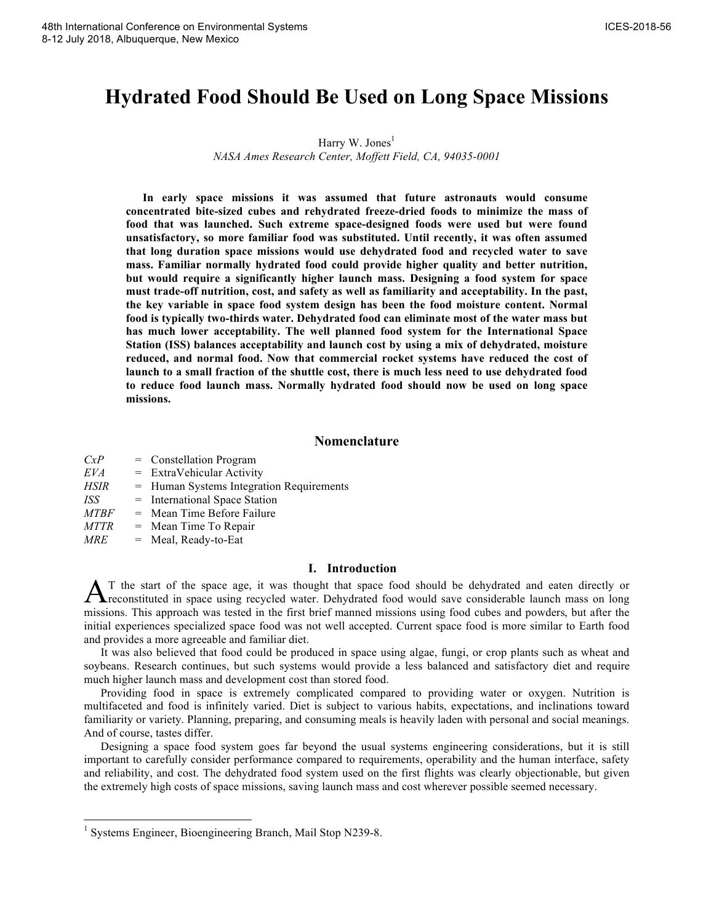# **Hydrated Food Should Be Used on Long Space Missions**

# Harry W. Jones<sup>1</sup> *NASA Ames Research Center, Moffett Field, CA, 94035-0001*

**In early space missions it was assumed that future astronauts would consume concentrated bite-sized cubes and rehydrated freeze-dried foods to minimize the mass of food that was launched. Such extreme space-designed foods were used but were found unsatisfactory, so more familiar food was substituted. Until recently, it was often assumed that long duration space missions would use dehydrated food and recycled water to save mass. Familiar normally hydrated food could provide higher quality and better nutrition, but would require a significantly higher launch mass. Designing a food system for space must trade-off nutrition, cost, and safety as well as familiarity and acceptability. In the past, the key variable in space food system design has been the food moisture content. Normal food is typically two-thirds water. Dehydrated food can eliminate most of the water mass but has much lower acceptability. The well planned food system for the International Space Station (ISS) balances acceptability and launch cost by using a mix of dehydrated, moisture reduced, and normal food. Now that commercial rocket systems have reduced the cost of launch to a small fraction of the shuttle cost, there is much less need to use dehydrated food to reduce food launch mass. Normally hydrated food should now be used on long space missions.** 

# **Nomenclature**

| CxP              | $=$ Constellation Program                  |
|------------------|--------------------------------------------|
| EVA              | $=$ ExtraVehicular Activity                |
| <b>HSIR</b>      | $=$ Human Systems Integration Requirements |
| ISS <sup>.</sup> | $=$ International Space Station            |
| <i>MTBF</i>      | $=$ Mean Time Before Failure               |
| <b>MTTR</b>      | $=$ Mean Time To Repair                    |
| MRE              | $=$ Meal, Ready-to-Eat                     |

### **I. Introduction**

T the start of the space age, it was thought that space food should be dehydrated and eaten directly or A T the start of the space age, it was thought that space food should be dehydrated and eaten directly or reconstituted in space using recycled water. Dehydrated food would save considerable launch mass on long missions. This approach was tested in the first brief manned missions using food cubes and powders, but after the initial experiences specialized space food was not well accepted. Current space food is more similar to Earth food and provides a more agreeable and familiar diet.

It was also believed that food could be produced in space using algae, fungi, or crop plants such as wheat and soybeans. Research continues, but such systems would provide a less balanced and satisfactory diet and require much higher launch mass and development cost than stored food.

Providing food in space is extremely complicated compared to providing water or oxygen. Nutrition is multifaceted and food is infinitely varied. Diet is subject to various habits, expectations, and inclinations toward familiarity or variety. Planning, preparing, and consuming meals is heavily laden with personal and social meanings. And of course, tastes differ.

Designing a space food system goes far beyond the usual systems engineering considerations, but it is still important to carefully consider performance compared to requirements, operability and the human interface, safety and reliability, and cost. The dehydrated food system used on the first flights was clearly objectionable, but given the extremely high costs of space missions, saving launch mass and cost wherever possible seemed necessary.

<sup>&</sup>lt;sup>1</sup> Systems Engineer, Bioengineering Branch, Mail Stop N239-8.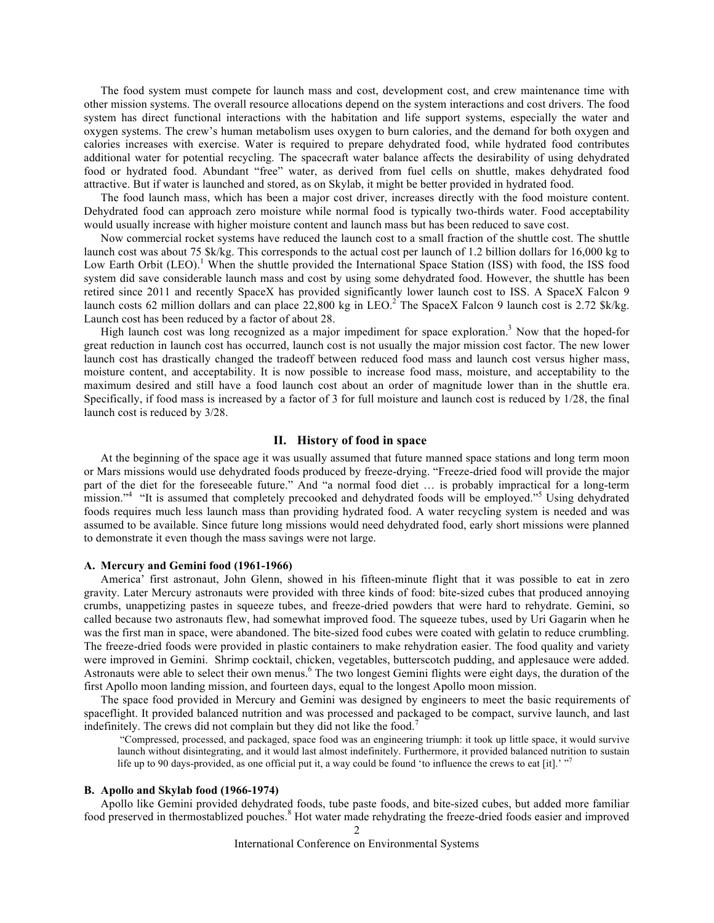The food system must compete for launch mass and cost, development cost, and crew maintenance time with other mission systems. The overall resource allocations depend on the system interactions and cost drivers. The food system has direct functional interactions with the habitation and life support systems, especially the water and oxygen systems. The crew's human metabolism uses oxygen to burn calories, and the demand for both oxygen and calories increases with exercise. Water is required to prepare dehydrated food, while hydrated food contributes additional water for potential recycling. The spacecraft water balance affects the desirability of using dehydrated food or hydrated food. Abundant "free" water, as derived from fuel cells on shuttle, makes dehydrated food attractive. But if water is launched and stored, as on Skylab, it might be better provided in hydrated food.

The food launch mass, which has been a major cost driver, increases directly with the food moisture content. Dehydrated food can approach zero moisture while normal food is typically two-thirds water. Food acceptability would usually increase with higher moisture content and launch mass but has been reduced to save cost.

Now commercial rocket systems have reduced the launch cost to a small fraction of the shuttle cost. The shuttle launch cost was about 75 \$k/kg. This corresponds to the actual cost per launch of 1.2 billion dollars for 16,000 kg to Low Earth Orbit (LEO).<sup>1</sup> When the shuttle provided the International Space Station (ISS) with food, the ISS food system did save considerable launch mass and cost by using some dehydrated food. However, the shuttle has been retired since 2011 and recently SpaceX has provided significantly lower launch cost to ISS. A SpaceX Falcon 9 launch costs 62 million dollars and can place 22,800 kg in LEO.<sup>2</sup> The SpaceX Falcon 9 launch cost is 2.72 \$k/kg. Launch cost has been reduced by a factor of about 28.

High launch cost was long recognized as a major impediment for space exploration.3 Now that the hoped-for great reduction in launch cost has occurred, launch cost is not usually the major mission cost factor. The new lower launch cost has drastically changed the tradeoff between reduced food mass and launch cost versus higher mass, moisture content, and acceptability. It is now possible to increase food mass, moisture, and acceptability to the maximum desired and still have a food launch cost about an order of magnitude lower than in the shuttle era. Specifically, if food mass is increased by a factor of 3 for full moisture and launch cost is reduced by 1/28, the final launch cost is reduced by 3/28.

# **II. History of food in space**

At the beginning of the space age it was usually assumed that future manned space stations and long term moon or Mars missions would use dehydrated foods produced by freeze-drying. "Freeze-dried food will provide the major part of the diet for the foreseeable future." And "a normal food diet … is probably impractical for a long-term mission."<sup>4</sup> "It is assumed that completely precooked and dehydrated foods will be employed."<sup>5</sup> Using dehydrated foods requires much less launch mass than providing hydrated food. A water recycling system is needed and was assumed to be available. Since future long missions would need dehydrated food, early short missions were planned to demonstrate it even though the mass savings were not large.

### **A. Mercury and Gemini food (1961-1966)**

America' first astronaut, John Glenn, showed in his fifteen-minute flight that it was possible to eat in zero gravity. Later Mercury astronauts were provided with three kinds of food: bite-sized cubes that produced annoying crumbs, unappetizing pastes in squeeze tubes, and freeze-dried powders that were hard to rehydrate. Gemini, so called because two astronauts flew, had somewhat improved food. The squeeze tubes, used by Uri Gagarin when he was the first man in space, were abandoned. The bite-sized food cubes were coated with gelatin to reduce crumbling. The freeze-dried foods were provided in plastic containers to make rehydration easier. The food quality and variety were improved in Gemini. Shrimp cocktail, chicken, vegetables, butterscotch pudding, and applesauce were added. Astronauts were able to select their own menus.<sup>6</sup> The two longest Gemini flights were eight days, the duration of the first Apollo moon landing mission, and fourteen days, equal to the longest Apollo moon mission.

The space food provided in Mercury and Gemini was designed by engineers to meet the basic requirements of spaceflight. It provided balanced nutrition and was processed and packaged to be compact, survive launch, and last indefinitely. The crews did not complain but they did not like the food.<sup>7</sup>

"Compressed, processed, and packaged, space food was an engineering triumph: it took up little space, it would survive launch without disintegrating, and it would last almost indefinitely. Furthermore, it provided balanced nutrition to sustain life up to 90 days-provided, as one official put it, a way could be found 'to influence the crews to eat [it].'  $\frac{1}{7}$ 

# **B. Apollo and Skylab food (1966-1974)**

Apollo like Gemini provided dehydrated foods, tube paste foods, and bite-sized cubes, but added more familiar food preserved in thermostablized pouches. <sup>8</sup> Hot water made rehydrating the freeze-dried foods easier and improved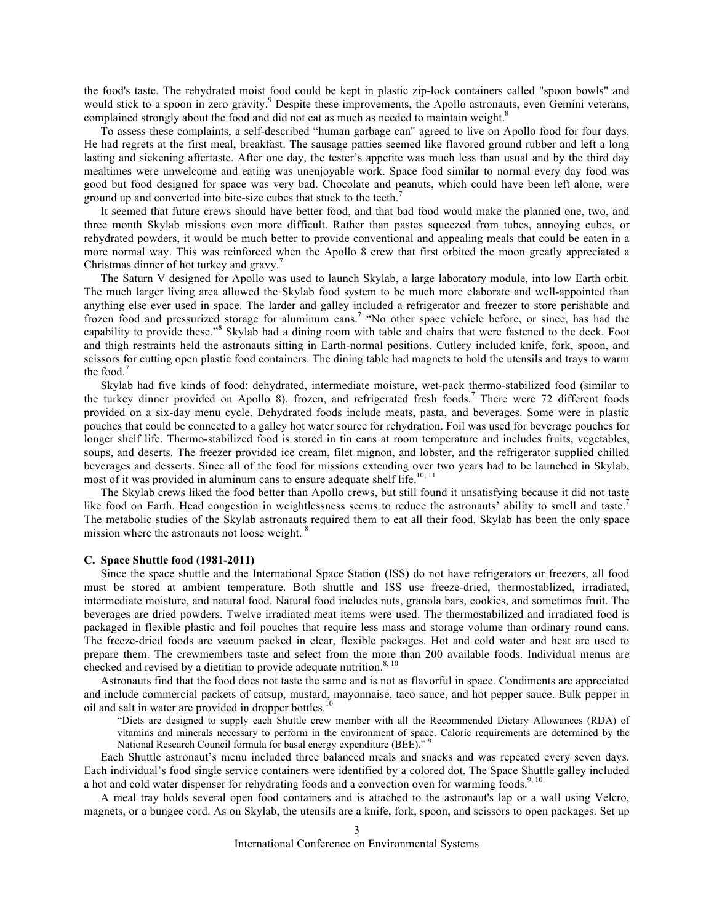the food's taste. The rehydrated moist food could be kept in plastic zip-lock containers called "spoon bowls" and would stick to a spoon in zero gravity.<sup>9</sup> Despite these improvements, the Apollo astronauts, even Gemini veterans, complained strongly about the food and did not eat as much as needed to maintain weight.<sup>8</sup>

To assess these complaints, a self-described "human garbage can" agreed to live on Apollo food for four days. He had regrets at the first meal, breakfast. The sausage patties seemed like flavored ground rubber and left a long lasting and sickening aftertaste. After one day, the tester's appetite was much less than usual and by the third day mealtimes were unwelcome and eating was unenjoyable work. Space food similar to normal every day food was good but food designed for space was very bad. Chocolate and peanuts, which could have been left alone, were ground up and converted into bite-size cubes that stuck to the teeth.<sup>7</sup>

It seemed that future crews should have better food, and that bad food would make the planned one, two, and three month Skylab missions even more difficult. Rather than pastes squeezed from tubes, annoying cubes, or rehydrated powders, it would be much better to provide conventional and appealing meals that could be eaten in a more normal way. This was reinforced when the Apollo 8 crew that first orbited the moon greatly appreciated a Christmas dinner of hot turkey and gravy.<sup>7</sup>

The Saturn V designed for Apollo was used to launch Skylab, a large laboratory module, into low Earth orbit. The much larger living area allowed the Skylab food system to be much more elaborate and well-appointed than anything else ever used in space. The larder and galley included a refrigerator and freezer to store perishable and frozen food and pressurized storage for aluminum cans.<sup>7</sup> "No other space vehicle before, or since, has had the capability to provide these."<sup>8</sup> Skylab had a dining room with table and chairs that were fastened to the deck. Foot and thigh restraints held the astronauts sitting in Earth-normal positions. Cutlery included knife, fork, spoon, and scissors for cutting open plastic food containers. The dining table had magnets to hold the utensils and trays to warm the food.<sup>7</sup>

Skylab had five kinds of food: dehydrated, intermediate moisture, wet-pack thermo-stabilized food (similar to the turkey dinner provided on Apollo 8), frozen, and refrigerated fresh foods.<sup>7</sup> There were 72 different foods provided on a six-day menu cycle. Dehydrated foods include meats, pasta, and beverages. Some were in plastic pouches that could be connected to a galley hot water source for rehydration. Foil was used for beverage pouches for longer shelf life. Thermo-stabilized food is stored in tin cans at room temperature and includes fruits, vegetables, soups, and deserts. The freezer provided ice cream, filet mignon, and lobster, and the refrigerator supplied chilled beverages and desserts. Since all of the food for missions extending over two years had to be launched in Skylab, most of it was provided in aluminum cans to ensure adequate shelf life.<sup>10, 11</sup>

The Skylab crews liked the food better than Apollo crews, but still found it unsatisfying because it did not taste like food on Earth. Head congestion in weightlessness seems to reduce the astronauts' ability to smell and taste.<sup>7</sup> The metabolic studies of the Skylab astronauts required them to eat all their food. Skylab has been the only space mission where the astronauts not loose weight.<sup>8</sup>

### **C. Space Shuttle food (1981-2011)**

Since the space shuttle and the International Space Station (ISS) do not have refrigerators or freezers, all food must be stored at ambient temperature. Both shuttle and ISS use freeze-dried, thermostablized, irradiated, intermediate moisture, and natural food. Natural food includes nuts, granola bars, cookies, and sometimes fruit. The beverages are dried powders. Twelve irradiated meat items were used. The thermostabilized and irradiated food is packaged in flexible plastic and foil pouches that require less mass and storage volume than ordinary round cans. The freeze-dried foods are vacuum packed in clear, flexible packages. Hot and cold water and heat are used to prepare them. The crewmembers taste and select from the more than 200 available foods. Individual menus are checked and revised by a dietitian to provide adequate nutrition.<sup>8, 10</sup>

Astronauts find that the food does not taste the same and is not as flavorful in space. Condiments are appreciated and include commercial packets of catsup, mustard, mayonnaise, taco sauce, and hot pepper sauce. Bulk pepper in oil and salt in water are provided in dropper bottles.<sup>10</sup>

"Diets are designed to supply each Shuttle crew member with all the Recommended Dietary Allowances (RDA) of vitamins and minerals necessary to perform in the environment of space. Caloric requirements are determined by the National Research Council formula for basal energy expenditure (BEE)."<sup>9</sup>

Each Shuttle astronaut's menu included three balanced meals and snacks and was repeated every seven days. Each individual's food single service containers were identified by a colored dot. The Space Shuttle galley included a hot and cold water dispenser for rehydrating foods and a convection oven for warming foods.<sup>9, 10</sup>

A meal tray holds several open food containers and is attached to the astronaut's lap or a wall using Velcro, magnets, or a bungee cord. As on Skylab, the utensils are a knife, fork, spoon, and scissors to open packages. Set up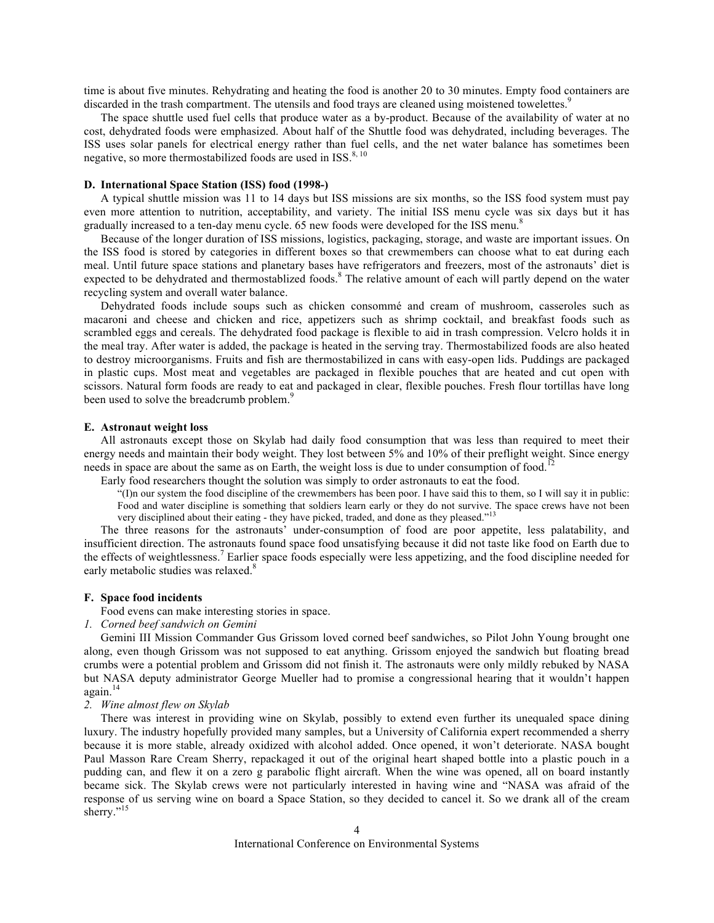time is about five minutes. Rehydrating and heating the food is another 20 to 30 minutes. Empty food containers are discarded in the trash compartment. The utensils and food trays are cleaned using moistened towelettes.<sup>9</sup>

The space shuttle used fuel cells that produce water as a by-product. Because of the availability of water at no cost, dehydrated foods were emphasized. About half of the Shuttle food was dehydrated, including beverages. The ISS uses solar panels for electrical energy rather than fuel cells, and the net water balance has sometimes been negative, so more thermostabilized foods are used in ISS. $8, 10$ 

# **D. International Space Station (ISS) food (1998-)**

A typical shuttle mission was 11 to 14 days but ISS missions are six months, so the ISS food system must pay even more attention to nutrition, acceptability, and variety. The initial ISS menu cycle was six days but it has gradually increased to a ten-day menu cycle. 65 new foods were developed for the ISS menu.<sup>8</sup>

Because of the longer duration of ISS missions, logistics, packaging, storage, and waste are important issues. On the ISS food is stored by categories in different boxes so that crewmembers can choose what to eat during each meal. Until future space stations and planetary bases have refrigerators and freezers, most of the astronauts' diet is expected to be dehydrated and thermostablized foods.<sup>8</sup> The relative amount of each will partly depend on the water recycling system and overall water balance.

Dehydrated foods include soups such as chicken consommé and cream of mushroom, casseroles such as macaroni and cheese and chicken and rice, appetizers such as shrimp cocktail, and breakfast foods such as scrambled eggs and cereals. The dehydrated food package is flexible to aid in trash compression. Velcro holds it in the meal tray. After water is added, the package is heated in the serving tray. Thermostabilized foods are also heated to destroy microorganisms. Fruits and fish are thermostabilized in cans with easy-open lids. Puddings are packaged in plastic cups. Most meat and vegetables are packaged in flexible pouches that are heated and cut open with scissors. Natural form foods are ready to eat and packaged in clear, flexible pouches. Fresh flour tortillas have long been used to solve the breadcrumb problem.<sup>9</sup>

#### **E. Astronaut weight loss**

All astronauts except those on Skylab had daily food consumption that was less than required to meet their energy needs and maintain their body weight. They lost between 5% and 10% of their preflight weight. Since energy needs in space are about the same as on Earth, the weight loss is due to under consumption of food.<sup>12</sup>

Early food researchers thought the solution was simply to order astronauts to eat the food.

"(I)n our system the food discipline of the crewmembers has been poor. I have said this to them, so I will say it in public: Food and water discipline is something that soldiers learn early or they do not survive. The space crews have not been very disciplined about their eating - they have picked, traded, and done as they pleased."<sup>13</sup>

The three reasons for the astronauts' under-consumption of food are poor appetite, less palatability, and insufficient direction. The astronauts found space food unsatisfying because it did not taste like food on Earth due to the effects of weightlessness.<sup>7</sup> Earlier space foods especially were less appetizing, and the food discipline needed for early metabolic studies was relaxed.<sup>8</sup>

## **F. Space food incidents**

Food evens can make interesting stories in space.

### *1. Corned beef sandwich on Gemini*

Gemini III Mission Commander Gus Grissom loved corned beef sandwiches, so Pilot John Young brought one along, even though Grissom was not supposed to eat anything. Grissom enjoyed the sandwich but floating bread crumbs were a potential problem and Grissom did not finish it. The astronauts were only mildly rebuked by NASA but NASA deputy administrator George Mueller had to promise a congressional hearing that it wouldn't happen again.<sup>14</sup>

#### *2. Wine almost flew on Skylab*

There was interest in providing wine on Skylab, possibly to extend even further its unequaled space dining luxury. The industry hopefully provided many samples, but a University of California expert recommended a sherry because it is more stable, already oxidized with alcohol added. Once opened, it won't deteriorate. NASA bought Paul Masson Rare Cream Sherry, repackaged it out of the original heart shaped bottle into a plastic pouch in a pudding can, and flew it on a zero g parabolic flight aircraft. When the wine was opened, all on board instantly became sick. The Skylab crews were not particularly interested in having wine and "NASA was afraid of the response of us serving wine on board a Space Station, so they decided to cancel it. So we drank all of the cream sherry."<sup>15</sup>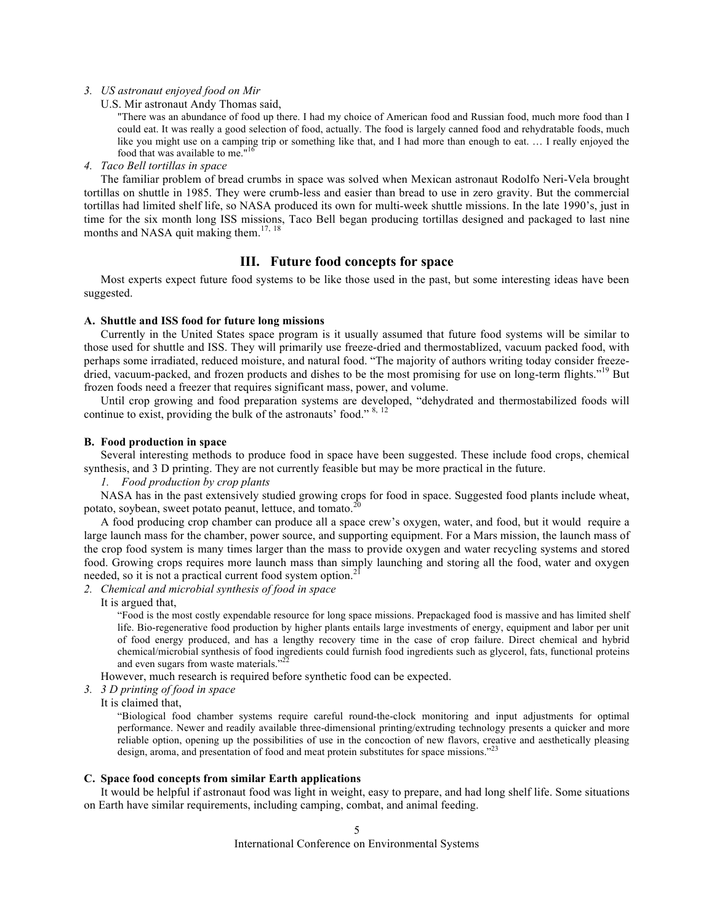*3. US astronaut enjoyed food on Mir*

U.S. Mir astronaut Andy Thomas said,

"There was an abundance of food up there. I had my choice of American food and Russian food, much more food than I could eat. It was really a good selection of food, actually. The food is largely canned food and rehydratable foods, much like you might use on a camping trip or something like that, and I had more than enough to eat. … I really enjoyed the food that was available to me."16

*4. Taco Bell tortillas in space*

The familiar problem of bread crumbs in space was solved when Mexican astronaut Rodolfo Neri-Vela brought tortillas on shuttle in 1985. They were crumb-less and easier than bread to use in zero gravity. But the commercial tortillas had limited shelf life, so NASA produced its own for multi-week shuttle missions. In the late 1990's, just in time for the six month long ISS missions, Taco Bell began producing tortillas designed and packaged to last nine months and NASA quit making them.<sup>17, 18</sup>

# **III. Future food concepts for space**

Most experts expect future food systems to be like those used in the past, but some interesting ideas have been suggested.

### **A. Shuttle and ISS food for future long missions**

Currently in the United States space program is it usually assumed that future food systems will be similar to those used for shuttle and ISS. They will primarily use freeze-dried and thermostablized, vacuum packed food, with perhaps some irradiated, reduced moisture, and natural food. "The majority of authors writing today consider freezedried, vacuum-packed, and frozen products and dishes to be the most promising for use on long-term flights."<sup>19</sup> But frozen foods need a freezer that requires significant mass, power, and volume.

Until crop growing and food preparation systems are developed, "dehydrated and thermostabilized foods will continue to exist, providing the bulk of the astronauts' food." 8, 12

# **B. Food production in space**

Several interesting methods to produce food in space have been suggested. These include food crops, chemical synthesis, and 3 D printing. They are not currently feasible but may be more practical in the future.

*1. Food production by crop plants* 

NASA has in the past extensively studied growing crops for food in space. Suggested food plants include wheat, potato, soybean, sweet potato peanut, lettuce, and tomato.<sup>20</sup>

A food producing crop chamber can produce all a space crew's oxygen, water, and food, but it would require a large launch mass for the chamber, power source, and supporting equipment. For a Mars mission, the launch mass of the crop food system is many times larger than the mass to provide oxygen and water recycling systems and stored food. Growing crops requires more launch mass than simply launching and storing all the food, water and oxygen needed, so it is not a practical current food system option.<sup>2</sup>

# *2. Chemical and microbial synthesis of food in space*

It is argued that,

"Food is the most costly expendable resource for long space missions. Prepackaged food is massive and has limited shelf life. Bio-regenerative food production by higher plants entails large investments of energy, equipment and labor per unit of food energy produced, and has a lengthy recovery time in the case of crop failure. Direct chemical and hybrid chemical/microbial synthesis of food ingredients could furnish food ingredients such as glycerol, fats, functional proteins and even sugars from waste materials."<sup>22</sup>

However, much research is required before synthetic food can be expected.

*3. 3 D printing of food in space*

It is claimed that,

"Biological food chamber systems require careful round-the-clock monitoring and input adjustments for optimal performance. Newer and readily available three-dimensional printing/extruding technology presents a quicker and more reliable option, opening up the possibilities of use in the concoction of new flavors, creative and aesthetically pleasing design, aroma, and presentation of food and meat protein substitutes for space missions."<sup>23</sup>

### **C. Space food concepts from similar Earth applications**

It would be helpful if astronaut food was light in weight, easy to prepare, and had long shelf life. Some situations on Earth have similar requirements, including camping, combat, and animal feeding.

> International Conference on Environmental Systems 5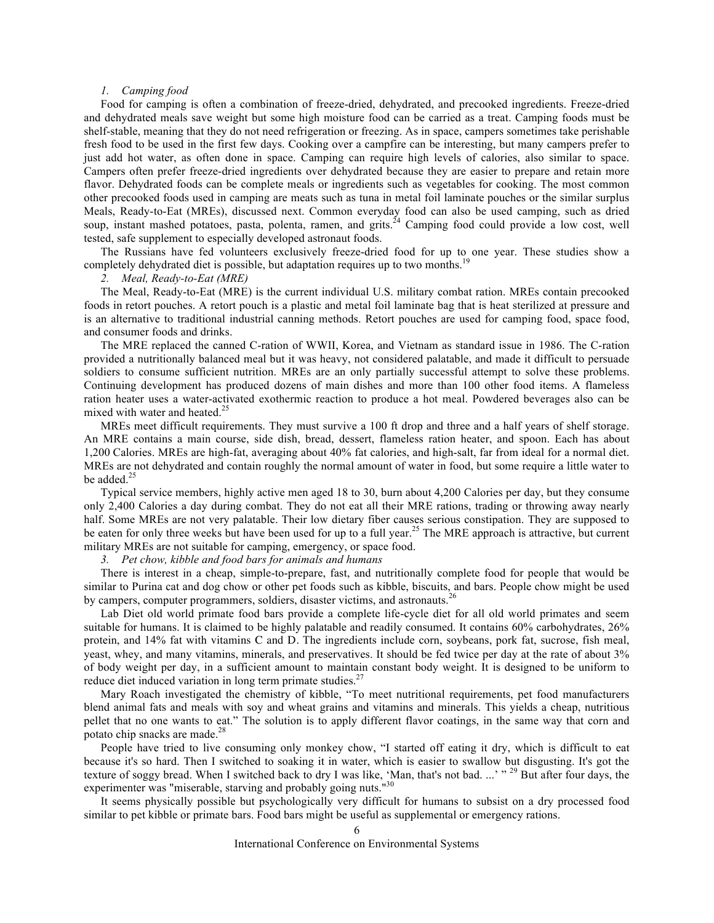### *1. Camping food*

Food for camping is often a combination of freeze-dried, dehydrated, and precooked ingredients. Freeze-dried and dehydrated meals save weight but some high moisture food can be carried as a treat. Camping foods must be shelf-stable, meaning that they do not need refrigeration or freezing. As in space, campers sometimes take perishable fresh food to be used in the first few days. Cooking over a campfire can be interesting, but many campers prefer to just add hot water, as often done in space. Camping can require high levels of calories, also similar to space. Campers often prefer freeze-dried ingredients over dehydrated because they are easier to prepare and retain more flavor. Dehydrated foods can be complete meals or ingredients such as vegetables for cooking. The most common other precooked foods used in camping are meats such as tuna in metal foil laminate pouches or the similar surplus Meals, Ready-to-Eat (MREs), discussed next. Common everyday food can also be used camping, such as dried soup, instant mashed potatoes, pasta, polenta, ramen, and grits.<sup>24</sup> Camping food could provide a low cost, well tested, safe supplement to especially developed astronaut foods.

The Russians have fed volunteers exclusively freeze-dried food for up to one year. These studies show a completely dehydrated diet is possible, but adaptation requires up to two months.<sup>1</sup>

#### *2. Meal, Ready-to-Eat (MRE)*

The Meal, Ready-to-Eat (MRE) is the current individual U.S. military combat ration. MREs contain precooked foods in retort pouches. A retort pouch is a plastic and metal foil laminate bag that is heat sterilized at pressure and is an alternative to traditional industrial canning methods. Retort pouches are used for camping food, space food, and consumer foods and drinks.

The MRE replaced the canned C-ration of WWII, Korea, and Vietnam as standard issue in 1986. The C-ration provided a nutritionally balanced meal but it was heavy, not considered palatable, and made it difficult to persuade soldiers to consume sufficient nutrition. MREs are an only partially successful attempt to solve these problems. Continuing development has produced dozens of main dishes and more than 100 other food items. A flameless ration heater uses a water-activated exothermic reaction to produce a hot meal. Powdered beverages also can be mixed with water and heated.<sup>25</sup>

MREs meet difficult requirements. They must survive a 100 ft drop and three and a half years of shelf storage. An MRE contains a main course, side dish, bread, dessert, flameless ration heater, and spoon. Each has about 1,200 Calories. MREs are high-fat, averaging about 40% fat calories, and high-salt, far from ideal for a normal diet. MREs are not dehydrated and contain roughly the normal amount of water in food, but some require a little water to be added.<sup>25</sup>

Typical service members, highly active men aged 18 to 30, burn about 4,200 Calories per day, but they consume only 2,400 Calories a day during combat. They do not eat all their MRE rations, trading or throwing away nearly half. Some MREs are not very palatable. Their low dietary fiber causes serious constipation. They are supposed to be eaten for only three weeks but have been used for up to a full year.<sup>25</sup> The MRE approach is attractive, but current military MREs are not suitable for camping, emergency, or space food.

*3. Pet chow, kibble and food bars for animals and humans*

There is interest in a cheap, simple-to-prepare, fast, and nutritionally complete food for people that would be similar to Purina cat and dog chow or other pet foods such as kibble, biscuits, and bars. People chow might be used by campers, computer programmers, soldiers, disaster victims, and astronauts.<sup>2</sup>

Lab Diet old world primate food bars provide a complete life-cycle diet for all old world primates and seem suitable for humans. It is claimed to be highly palatable and readily consumed. It contains 60% carbohydrates, 26% protein, and 14% fat with vitamins C and D. The ingredients include corn, soybeans, pork fat, sucrose, fish meal, yeast, whey, and many vitamins, minerals, and preservatives. It should be fed twice per day at the rate of about 3% of body weight per day, in a sufficient amount to maintain constant body weight. It is designed to be uniform to reduce diet induced variation in long term primate studies. $27$ 

Mary Roach investigated the chemistry of kibble, "To meet nutritional requirements, pet food manufacturers blend animal fats and meals with soy and wheat grains and vitamins and minerals. This yields a cheap, nutritious pellet that no one wants to eat." The solution is to apply different flavor coatings, in the same way that corn and potato chip snacks are made.<sup>28</sup>

People have tried to live consuming only monkey chow, "I started off eating it dry, which is difficult to eat because it's so hard. Then I switched to soaking it in water, which is easier to swallow but disgusting. It's got the texture of soggy bread. When I switched back to dry I was like, 'Man, that's not bad. ...' "<sup>29</sup> But after four days, the experimenter was "miserable, starving and probably going nuts."<sup>30</sup>

It seems physically possible but psychologically very difficult for humans to subsist on a dry processed food similar to pet kibble or primate bars. Food bars might be useful as supplemental or emergency rations.

International Conference on Environmental Systems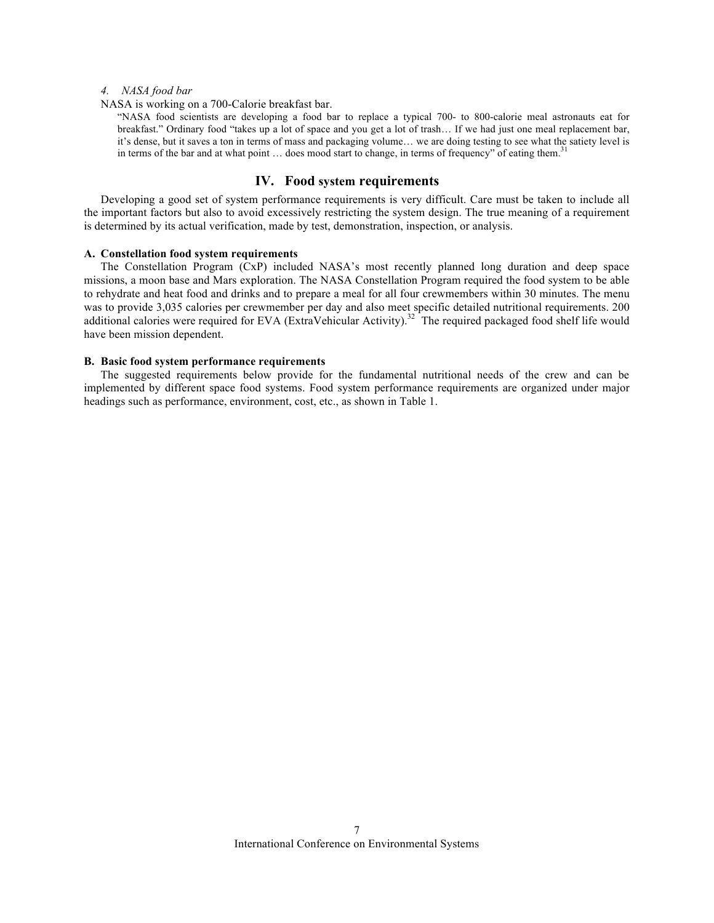# *4. NASA food bar*

NASA is working on a 700-Calorie breakfast bar.

"NASA food scientists are developing a food bar to replace a typical 700- to 800-calorie meal astronauts eat for breakfast." Ordinary food "takes up a lot of space and you get a lot of trash… If we had just one meal replacement bar, it's dense, but it saves a ton in terms of mass and packaging volume… we are doing testing to see what the satiety level is in terms of the bar and at what point ... does mood start to change, in terms of frequency" of eating them.<sup>31</sup>

# **IV. Food system requirements**

Developing a good set of system performance requirements is very difficult. Care must be taken to include all the important factors but also to avoid excessively restricting the system design. The true meaning of a requirement is determined by its actual verification, made by test, demonstration, inspection, or analysis.

# **A. Constellation food system requirements**

The Constellation Program (CxP) included NASA's most recently planned long duration and deep space missions, a moon base and Mars exploration. The NASA Constellation Program required the food system to be able to rehydrate and heat food and drinks and to prepare a meal for all four crewmembers within 30 minutes. The menu was to provide 3,035 calories per crewmember per day and also meet specific detailed nutritional requirements. 200 additional calories were required for EVA (ExtraVehicular Activity).<sup>32</sup> The required packaged food shelf life would have been mission dependent.

### **B. Basic food system performance requirements**

The suggested requirements below provide for the fundamental nutritional needs of the crew and can be implemented by different space food systems. Food system performance requirements are organized under major headings such as performance, environment, cost, etc., as shown in Table 1.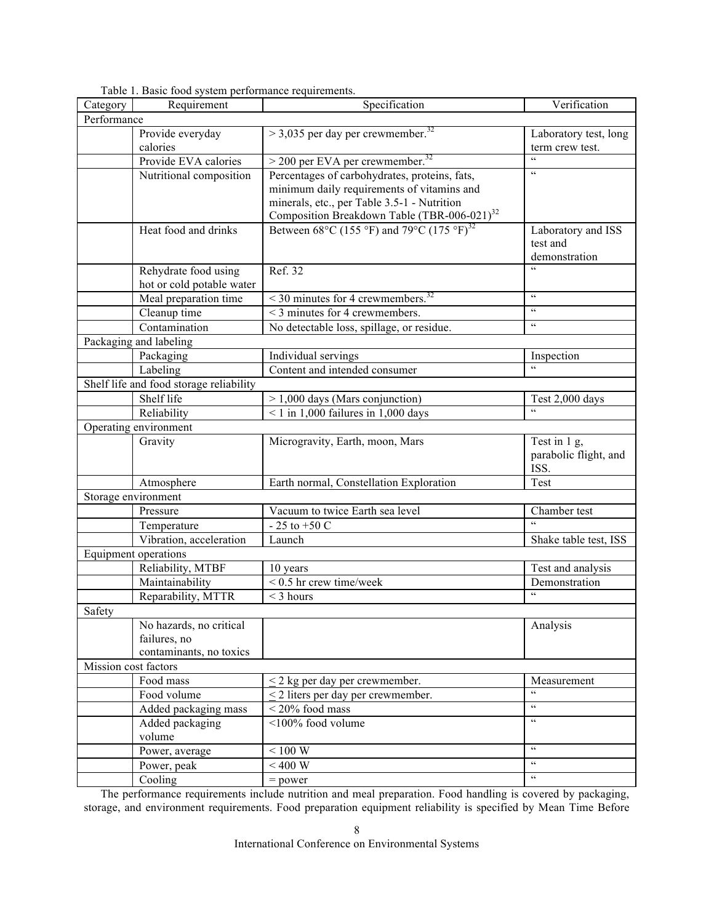| Category             | Requirement                             | Specification                                                                                                    | Verification                |  |  |  |  |  |  |
|----------------------|-----------------------------------------|------------------------------------------------------------------------------------------------------------------|-----------------------------|--|--|--|--|--|--|
| Performance          |                                         |                                                                                                                  |                             |  |  |  |  |  |  |
|                      | Provide everyday                        | $>$ 3,035 per day per crewmember. <sup>32</sup>                                                                  | Laboratory test, long       |  |  |  |  |  |  |
|                      | calories                                |                                                                                                                  | term crew test.             |  |  |  |  |  |  |
|                      | Provide EVA calories                    | $>$ 200 per EVA per crewmember. <sup>32</sup>                                                                    | $\epsilon$                  |  |  |  |  |  |  |
|                      | Nutritional composition                 | Percentages of carbohydrates, proteins, fats,                                                                    | $\epsilon\,\epsilon$        |  |  |  |  |  |  |
|                      |                                         | minimum daily requirements of vitamins and                                                                       |                             |  |  |  |  |  |  |
|                      |                                         | minerals, etc., per Table 3.5-1 - Nutrition                                                                      |                             |  |  |  |  |  |  |
|                      |                                         | Composition Breakdown Table (TBR-006-021) <sup>32</sup><br>Between 68°C (155 °F) and 79°C (175 °F) <sup>32</sup> |                             |  |  |  |  |  |  |
|                      | Heat food and drinks                    |                                                                                                                  | Laboratory and ISS          |  |  |  |  |  |  |
|                      |                                         |                                                                                                                  | test and                    |  |  |  |  |  |  |
|                      |                                         |                                                                                                                  | demonstration               |  |  |  |  |  |  |
|                      | Rehydrate food using                    | Ref. 32                                                                                                          |                             |  |  |  |  |  |  |
|                      | hot or cold potable water               |                                                                                                                  | $\pmb{\zeta}$ $\pmb{\zeta}$ |  |  |  |  |  |  |
|                      | Meal preparation time                   | $\leq$ 30 minutes for 4 crewmembers. <sup>32</sup>                                                               | $\epsilon\,\epsilon$        |  |  |  |  |  |  |
|                      | Cleanup time                            | < 3 minutes for 4 crewmembers.                                                                                   |                             |  |  |  |  |  |  |
|                      | Contamination                           | No detectable loss, spillage, or residue.                                                                        | $\epsilon\,\epsilon$        |  |  |  |  |  |  |
|                      | Packaging and labeling                  |                                                                                                                  |                             |  |  |  |  |  |  |
|                      | Packaging                               | Individual servings                                                                                              | Inspection                  |  |  |  |  |  |  |
|                      | Labeling                                | Content and intended consumer                                                                                    |                             |  |  |  |  |  |  |
|                      | Shelf life and food storage reliability |                                                                                                                  |                             |  |  |  |  |  |  |
|                      | Shelf life                              | $> 1,000$ days (Mars conjunction)                                                                                | Test 2,000 days             |  |  |  |  |  |  |
|                      | Reliability                             | $\leq$ 1 in 1,000 failures in 1,000 days                                                                         |                             |  |  |  |  |  |  |
|                      | Operating environment                   |                                                                                                                  |                             |  |  |  |  |  |  |
|                      | Gravity                                 | Microgravity, Earth, moon, Mars                                                                                  | Test in 1 g,                |  |  |  |  |  |  |
|                      |                                         |                                                                                                                  | parabolic flight, and       |  |  |  |  |  |  |
|                      |                                         |                                                                                                                  | ISS.                        |  |  |  |  |  |  |
|                      | Atmosphere                              | Earth normal, Constellation Exploration                                                                          | Test                        |  |  |  |  |  |  |
| Storage environment  |                                         |                                                                                                                  |                             |  |  |  |  |  |  |
|                      | Pressure                                | Vacuum to twice Earth sea level                                                                                  | Chamber test                |  |  |  |  |  |  |
|                      | Temperature                             | - 25 to +50 C                                                                                                    |                             |  |  |  |  |  |  |
|                      | Vibration, acceleration                 | Launch                                                                                                           | Shake table test, ISS       |  |  |  |  |  |  |
|                      | <b>Equipment operations</b>             |                                                                                                                  |                             |  |  |  |  |  |  |
|                      | Reliability, MTBF                       | 10 years                                                                                                         | Test and analysis           |  |  |  |  |  |  |
|                      | Maintainability                         | $\leq$ 0.5 hr crew time/week                                                                                     | Demonstration<br>$\epsilon$ |  |  |  |  |  |  |
|                      | Reparability, MTTR                      | $<$ 3 hours                                                                                                      |                             |  |  |  |  |  |  |
| Safety               |                                         |                                                                                                                  |                             |  |  |  |  |  |  |
|                      | No hazards, no critical                 |                                                                                                                  | Analysis                    |  |  |  |  |  |  |
|                      | failures, no                            |                                                                                                                  |                             |  |  |  |  |  |  |
|                      | contaminants, no toxics                 |                                                                                                                  |                             |  |  |  |  |  |  |
| Mission cost factors |                                         |                                                                                                                  |                             |  |  |  |  |  |  |
|                      | Food mass                               | $<$ 2 kg per day per crewmember.                                                                                 | Measurement<br>$\epsilon$   |  |  |  |  |  |  |
|                      | Food volume                             | $\leq$ 2 liters per day per crewmember.                                                                          | $\epsilon\,\epsilon$        |  |  |  |  |  |  |
|                      | Added packaging mass                    | $<$ 20% food mass                                                                                                | $\epsilon\epsilon$          |  |  |  |  |  |  |
|                      | Added packaging                         | <100% food volume                                                                                                |                             |  |  |  |  |  |  |
|                      | volume                                  |                                                                                                                  | $\epsilon\, \epsilon$       |  |  |  |  |  |  |
|                      | Power, average                          | $< 100 \mathrm{~W}$                                                                                              | $\epsilon\,\epsilon$        |  |  |  |  |  |  |
|                      | Power, peak                             | $< 400~\rm{W}$                                                                                                   | $\epsilon\,\epsilon$        |  |  |  |  |  |  |
|                      | Cooling                                 | $=$ power                                                                                                        |                             |  |  |  |  |  |  |

Table 1. Basic food system performance requirements.

The performance requirements include nutrition and meal preparation. Food handling is covered by packaging, storage, and environment requirements. Food preparation equipment reliability is specified by Mean Time Before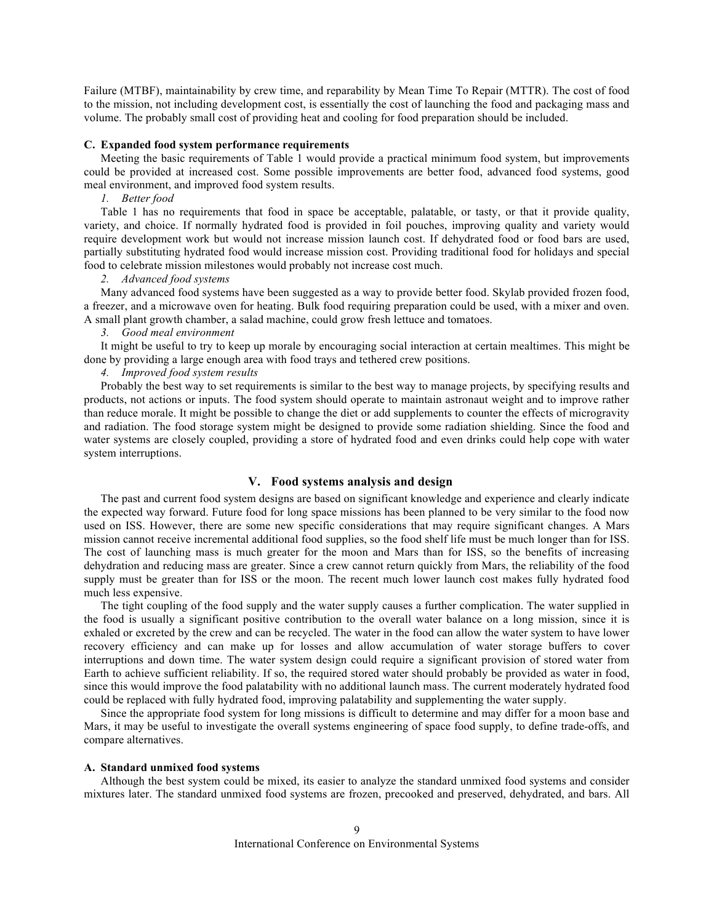Failure (MTBF), maintainability by crew time, and reparability by Mean Time To Repair (MTTR). The cost of food to the mission, not including development cost, is essentially the cost of launching the food and packaging mass and volume. The probably small cost of providing heat and cooling for food preparation should be included.

### **C. Expanded food system performance requirements**

Meeting the basic requirements of Table 1 would provide a practical minimum food system, but improvements could be provided at increased cost. Some possible improvements are better food, advanced food systems, good meal environment, and improved food system results.

*1. Better food*

Table 1 has no requirements that food in space be acceptable, palatable, or tasty, or that it provide quality, variety, and choice. If normally hydrated food is provided in foil pouches, improving quality and variety would require development work but would not increase mission launch cost. If dehydrated food or food bars are used, partially substituting hydrated food would increase mission cost. Providing traditional food for holidays and special food to celebrate mission milestones would probably not increase cost much.

#### *2. Advanced food systems*

Many advanced food systems have been suggested as a way to provide better food. Skylab provided frozen food, a freezer, and a microwave oven for heating. Bulk food requiring preparation could be used, with a mixer and oven. A small plant growth chamber, a salad machine, could grow fresh lettuce and tomatoes.

# *3. Good meal environment*

It might be useful to try to keep up morale by encouraging social interaction at certain mealtimes. This might be done by providing a large enough area with food trays and tethered crew positions.

# *4. Improved food system results*

Probably the best way to set requirements is similar to the best way to manage projects, by specifying results and products, not actions or inputs. The food system should operate to maintain astronaut weight and to improve rather than reduce morale. It might be possible to change the diet or add supplements to counter the effects of microgravity and radiation. The food storage system might be designed to provide some radiation shielding. Since the food and water systems are closely coupled, providing a store of hydrated food and even drinks could help cope with water system interruptions.

# **V. Food systems analysis and design**

The past and current food system designs are based on significant knowledge and experience and clearly indicate the expected way forward. Future food for long space missions has been planned to be very similar to the food now used on ISS. However, there are some new specific considerations that may require significant changes. A Mars mission cannot receive incremental additional food supplies, so the food shelf life must be much longer than for ISS. The cost of launching mass is much greater for the moon and Mars than for ISS, so the benefits of increasing dehydration and reducing mass are greater. Since a crew cannot return quickly from Mars, the reliability of the food supply must be greater than for ISS or the moon. The recent much lower launch cost makes fully hydrated food much less expensive.

The tight coupling of the food supply and the water supply causes a further complication. The water supplied in the food is usually a significant positive contribution to the overall water balance on a long mission, since it is exhaled or excreted by the crew and can be recycled. The water in the food can allow the water system to have lower recovery efficiency and can make up for losses and allow accumulation of water storage buffers to cover interruptions and down time. The water system design could require a significant provision of stored water from Earth to achieve sufficient reliability. If so, the required stored water should probably be provided as water in food, since this would improve the food palatability with no additional launch mass. The current moderately hydrated food could be replaced with fully hydrated food, improving palatability and supplementing the water supply.

Since the appropriate food system for long missions is difficult to determine and may differ for a moon base and Mars, it may be useful to investigate the overall systems engineering of space food supply, to define trade-offs, and compare alternatives.

# **A. Standard unmixed food systems**

Although the best system could be mixed, its easier to analyze the standard unmixed food systems and consider mixtures later. The standard unmixed food systems are frozen, precooked and preserved, dehydrated, and bars. All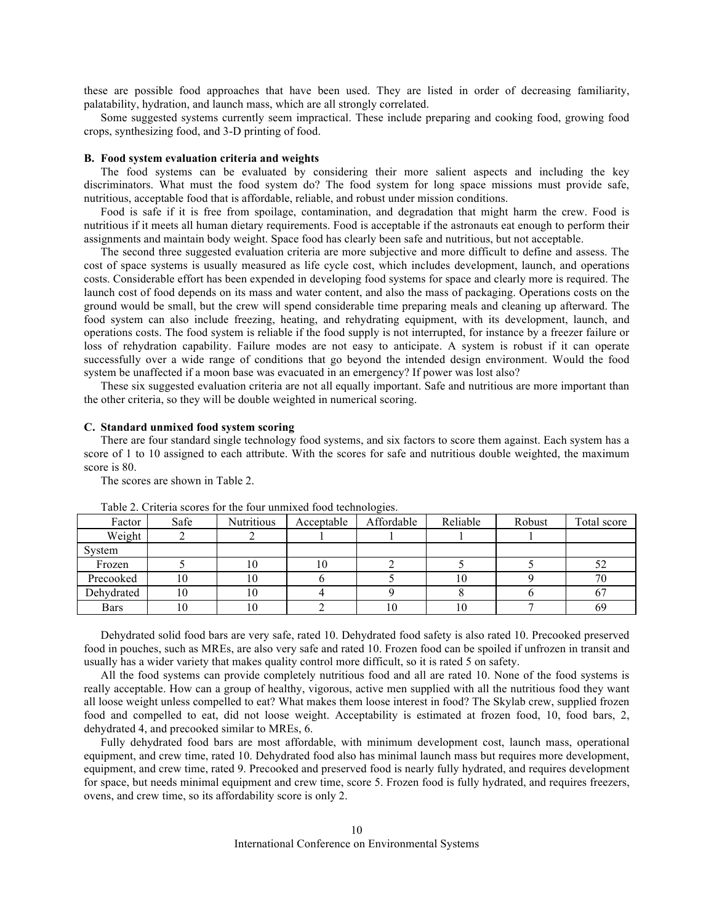these are possible food approaches that have been used. They are listed in order of decreasing familiarity, palatability, hydration, and launch mass, which are all strongly correlated.

Some suggested systems currently seem impractical. These include preparing and cooking food, growing food crops, synthesizing food, and 3-D printing of food.

### **B. Food system evaluation criteria and weights**

The food systems can be evaluated by considering their more salient aspects and including the key discriminators. What must the food system do? The food system for long space missions must provide safe, nutritious, acceptable food that is affordable, reliable, and robust under mission conditions.

Food is safe if it is free from spoilage, contamination, and degradation that might harm the crew. Food is nutritious if it meets all human dietary requirements. Food is acceptable if the astronauts eat enough to perform their assignments and maintain body weight. Space food has clearly been safe and nutritious, but not acceptable.

The second three suggested evaluation criteria are more subjective and more difficult to define and assess. The cost of space systems is usually measured as life cycle cost, which includes development, launch, and operations costs. Considerable effort has been expended in developing food systems for space and clearly more is required. The launch cost of food depends on its mass and water content, and also the mass of packaging. Operations costs on the ground would be small, but the crew will spend considerable time preparing meals and cleaning up afterward. The food system can also include freezing, heating, and rehydrating equipment, with its development, launch, and operations costs. The food system is reliable if the food supply is not interrupted, for instance by a freezer failure or loss of rehydration capability. Failure modes are not easy to anticipate. A system is robust if it can operate successfully over a wide range of conditions that go beyond the intended design environment. Would the food system be unaffected if a moon base was evacuated in an emergency? If power was lost also?

These six suggested evaluation criteria are not all equally important. Safe and nutritious are more important than the other criteria, so they will be double weighted in numerical scoring.

### **C. Standard unmixed food system scoring**

There are four standard single technology food systems, and six factors to score them against. Each system has a score of 1 to 10 assigned to each attribute. With the scores for safe and nutritious double weighted, the maximum score is 80.

The scores are shown in Table 2.

| Factor     | Safe | <b>Nutritious</b> | Acceptable | Affordable | Reliable | Robust | Total score |
|------------|------|-------------------|------------|------------|----------|--------|-------------|
| Weight     |      |                   |            |            |          |        |             |
| System     |      |                   |            |            |          |        |             |
| Frozen     |      | ΙU                | 10         |            |          |        | 52          |
| Precooked  | 10   | 10                |            |            | 10       |        | 70          |
| Dehydrated | 10   | ΙU                |            |            |          |        | $\sigma$    |
| Bars       | 10   | 10                |            | 10         | 10       |        | 69          |

Table 2. Criteria scores for the four unmixed food technologies.

Dehydrated solid food bars are very safe, rated 10. Dehydrated food safety is also rated 10. Precooked preserved food in pouches, such as MREs, are also very safe and rated 10. Frozen food can be spoiled if unfrozen in transit and usually has a wider variety that makes quality control more difficult, so it is rated 5 on safety.

All the food systems can provide completely nutritious food and all are rated 10. None of the food systems is really acceptable. How can a group of healthy, vigorous, active men supplied with all the nutritious food they want all loose weight unless compelled to eat? What makes them loose interest in food? The Skylab crew, supplied frozen food and compelled to eat, did not loose weight. Acceptability is estimated at frozen food, 10, food bars, 2, dehydrated 4, and precooked similar to MREs, 6.

Fully dehydrated food bars are most affordable, with minimum development cost, launch mass, operational equipment, and crew time, rated 10. Dehydrated food also has minimal launch mass but requires more development, equipment, and crew time, rated 9. Precooked and preserved food is nearly fully hydrated, and requires development for space, but needs minimal equipment and crew time, score 5. Frozen food is fully hydrated, and requires freezers, ovens, and crew time, so its affordability score is only 2.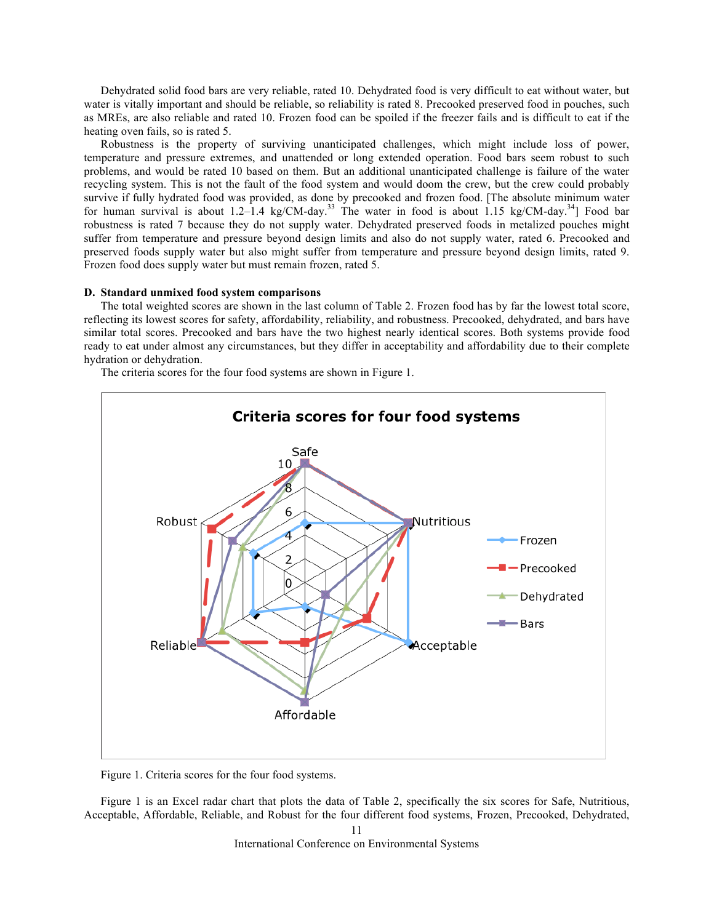Dehydrated solid food bars are very reliable, rated 10. Dehydrated food is very difficult to eat without water, but water is vitally important and should be reliable, so reliability is rated 8. Precooked preserved food in pouches, such as MREs, are also reliable and rated 10. Frozen food can be spoiled if the freezer fails and is difficult to eat if the heating oven fails, so is rated 5.

Robustness is the property of surviving unanticipated challenges, which might include loss of power, temperature and pressure extremes, and unattended or long extended operation. Food bars seem robust to such problems, and would be rated 10 based on them. But an additional unanticipated challenge is failure of the water recycling system. This is not the fault of the food system and would doom the crew, but the crew could probably survive if fully hydrated food was provided, as done by precooked and frozen food. [The absolute minimum water for human survival is about 1.2–1.4 kg/CM-day.<sup>33</sup> The water in food is about 1.15 kg/CM-day.<sup>34</sup>] Food bar robustness is rated 7 because they do not supply water. Dehydrated preserved foods in metalized pouches might suffer from temperature and pressure beyond design limits and also do not supply water, rated 6. Precooked and preserved foods supply water but also might suffer from temperature and pressure beyond design limits, rated 9. Frozen food does supply water but must remain frozen, rated 5.

### **D. Standard unmixed food system comparisons**

The total weighted scores are shown in the last column of Table 2. Frozen food has by far the lowest total score, reflecting its lowest scores for safety, affordability, reliability, and robustness. Precooked, dehydrated, and bars have similar total scores. Precooked and bars have the two highest nearly identical scores. Both systems provide food ready to eat under almost any circumstances, but they differ in acceptability and affordability due to their complete hydration or dehydration.

The criteria scores for the four food systems are shown in Figure 1.



Figure 1. Criteria scores for the four food systems.

Figure 1 is an Excel radar chart that plots the data of Table 2, specifically the six scores for Safe, Nutritious, Acceptable, Affordable, Reliable, and Robust for the four different food systems, Frozen, Precooked, Dehydrated,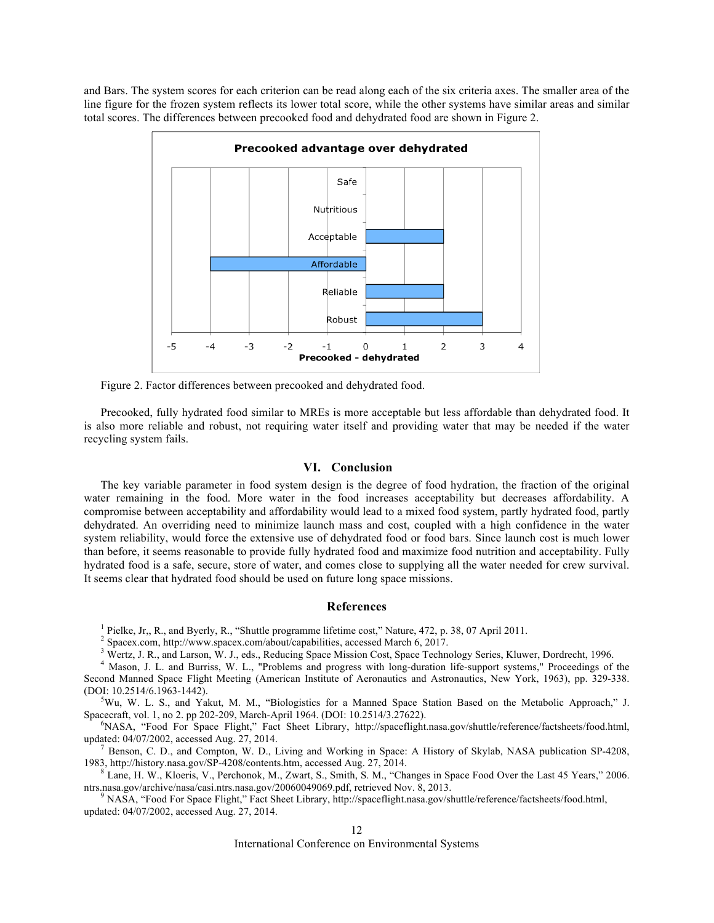and Bars. The system scores for each criterion can be read along each of the six criteria axes. The smaller area of the line figure for the frozen system reflects its lower total score, while the other systems have similar areas and similar total scores. The differences between precooked food and dehydrated food are shown in Figure 2.



Figure 2. Factor differences between precooked and dehydrated food.

Precooked, fully hydrated food similar to MREs is more acceptable but less affordable than dehydrated food. It is also more reliable and robust, not requiring water itself and providing water that may be needed if the water recycling system fails.

# **VI. Conclusion**

The key variable parameter in food system design is the degree of food hydration, the fraction of the original water remaining in the food. More water in the food increases acceptability but decreases affordability. A compromise between acceptability and affordability would lead to a mixed food system, partly hydrated food, partly dehydrated. An overriding need to minimize launch mass and cost, coupled with a high confidence in the water system reliability, would force the extensive use of dehydrated food or food bars. Since launch cost is much lower than before, it seems reasonable to provide fully hydrated food and maximize food nutrition and acceptability. Fully hydrated food is a safe, secure, store of water, and comes close to supplying all the water needed for crew survival. It seems clear that hydrated food should be used on future long space missions.

### **References**

<sup>1</sup> Pielke, Jr., R., and Byerly, R., "Shuttle programme lifetime cost," Nature, 472, p. 38, 07 April 2011.<br><sup>2</sup> Spacex.com, http://www.spacex.com/about/capabilities, accessed March 6, 2017.<br><sup>3</sup> Wertz, J. R., and Larson, W. Second Manned Space Flight Meeting (American Institute of Aeronautics and Astronautics, New York, 1963), pp. 329-338. (DOI: 10.2514/6.1963-1442).

 ${}^5$ Wu, W. L. S., and Yakut, M. M., "Biologistics for a Manned Space Station Based on the Metabolic Approach," J. Spacecraft, vol. 1, no 2. pp 202-209, March-April 1964. (DOI: 10.2514/3.27622). 6

NASA, "Food For Space Flight," Fact Sheet Library, http://spaceflight.nasa.gov/shuttle/reference/factsheets/food.html, updated:  $04/07/2002$ , accessed Aug. 27, 2014.<br><sup>7</sup> Benson, C. D., and Compton, W. D., Living and Working in Space: A History of Skylab, NASA publication SP-4208,

1983, http://history.nasa.gov/SP-4208/contents.htm, accessed Aug. 27, 2014.<br><sup>8</sup> Lane, H. W., Kloeris, V., Perchonok, M., Zwart, S., Smith, S. M., "Changes in Space Food Over the Last 45 Years," 2006.

ntrs.nasa.gov/archive/nasa/casi.ntrs.nasa.gov/20060049069.pdf, retrieved Nov. 8, 2013.<br><sup>9</sup> NASA, "Food For Space Flight," Fact Sheet Library, http://spaceflight.nasa.gov/shuttle/reference/factsheets/food.html,

updated: 04/07/2002, accessed Aug. 27, 2014.